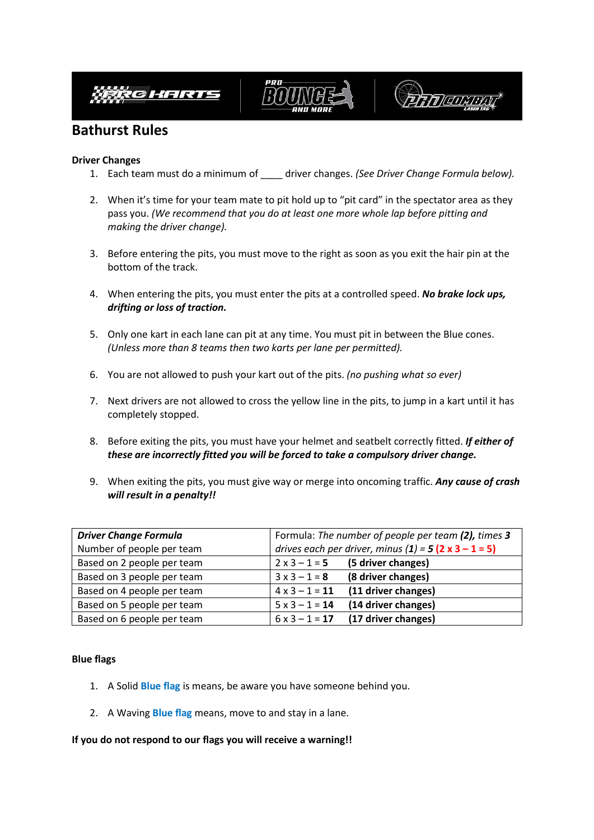





# **Bathurst Rules**

## **Driver Changes**

- 1. Each team must do a minimum of \_\_\_\_ driver changes. *(See Driver Change Formula below).*
- 2. When it's time for your team mate to pit hold up to "pit card" in the spectator area as they pass you. *(We recommend that you do at least one more whole lap before pitting and making the driver change).*
- 3. Before entering the pits, you must move to the right as soon as you exit the hair pin at the bottom of the track.
- 4. When entering the pits, you must enter the pits at a controlled speed. *No brake lock ups, drifting or loss of traction.*
- 5. Only one kart in each lane can pit at any time. You must pit in between the Blue cones. *(Unless more than 8 teams then two karts per lane per permitted).*
- 6. You are not allowed to push your kart out of the pits. *(no pushing what so ever)*
- 7. Next drivers are not allowed to cross the yellow line in the pits, to jump in a kart until it has completely stopped.
- 8. Before exiting the pits, you must have your helmet and seatbelt correctly fitted. *If either of these are incorrectly fitted you will be forced to take a compulsory driver change.*
- 9. When exiting the pits, you must give way or merge into oncoming traffic. *Any cause of crash will result in a penalty!!*

| <b>Driver Change Formula</b> | Formula: The number of people per team (2), times 3         |  |  |
|------------------------------|-------------------------------------------------------------|--|--|
| Number of people per team    | drives each per driver, minus $(1) = 5(2 \times 3 - 1 = 5)$ |  |  |
| Based on 2 people per team   | $2x3 - 1 = 5$<br>(5 driver changes)                         |  |  |
| Based on 3 people per team   | $3x3 - 1 = 8$<br>(8 driver changes)                         |  |  |
| Based on 4 people per team   | $4 \times 3 - 1 = 11$<br>(11 driver changes)                |  |  |
| Based on 5 people per team   | $5 \times 3 - 1 = 14$<br>(14 driver changes)                |  |  |
| Based on 6 people per team   | $6 \times 3 - 1 = 17$<br>(17 driver changes)                |  |  |

## **Blue flags**

- 1. A Solid **Blue flag** is means, be aware you have someone behind you.
- 2. A Waving **Blue flag** means, move to and stay in a lane.

#### **If you do not respond to our flags you will receive a warning!!**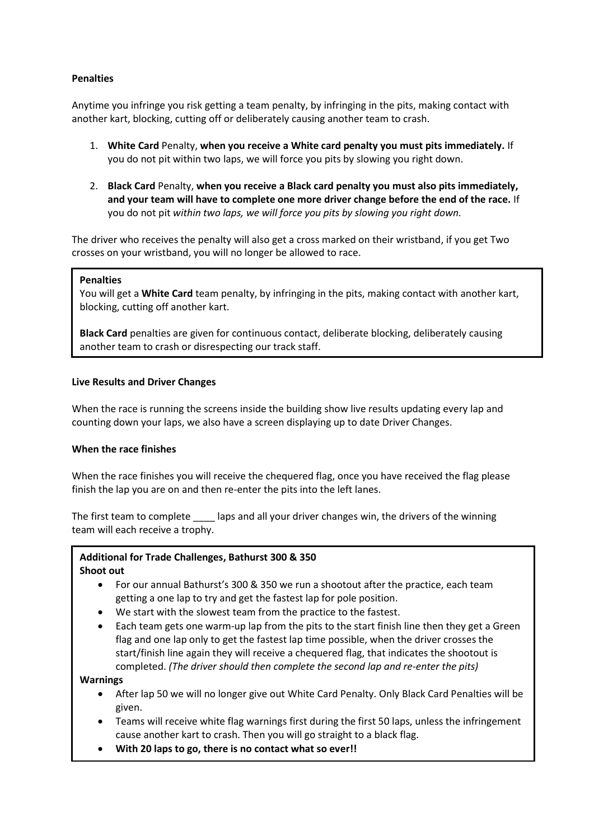# **Penalties**

Anytime you infringe you risk getting a team penalty, by infringing in the pits, making contact with another kart, blocking, cutting off or deliberately causing another team to crash.

- 1. **White Card** Penalty, **when you receive a White card penalty you must pits immediately.** If you do not pit within two laps, we will force you pits by slowing you right down.
- 2. **Black Card** Penalty, **when you receive a Black card penalty you must also pits immediately, and your team will have to complete one more driver change before the end of the race.** If you do not pit *within two laps, we will force you pits by slowing you right down.*

The driver who receives the penalty will also get a cross marked on their wristband, if you get Two crosses on your wristband, you will no longer be allowed to race.

## **Penalties**

You will get a **White Card** team penalty, by infringing in the pits, making contact with another kart, blocking, cutting off another kart.

**Black Card** penalties are given for continuous contact, deliberate blocking, deliberately causing another team to crash or disrespecting our track staff.

#### **Live Results and Driver Changes**

When the race is running the screens inside the building show live results updating every lap and counting down your laps, we also have a screen displaying up to date Driver Changes.

## **When the race finishes**

When the race finishes you will receive the chequered flag, once you have received the flag please finish the lap you are on and then re-enter the pits into the left lanes.

The first team to complete \_\_\_\_ laps and all your driver changes win, the drivers of the winning team will each receive a trophy.

## **Additional for Trade Challenges, Bathurst 300 & 350 Shoot out**

- For our annual Bathurst's 300 & 350 we run a shootout after the practice, each team getting a one lap to try and get the fastest lap for pole position.
- We start with the slowest team from the practice to the fastest.
- Each team gets one warm-up lap from the pits to the start finish line then they get a Green flag and one lap only to get the fastest lap time possible, when the driver crosses the start/finish line again they will receive a chequered flag, that indicates the shootout is completed. *(The driver should then complete the second lap and re-enter the pits)*

## **Warnings**

- After lap 50 we will no longer give out White Card Penalty. Only Black Card Penalties will be given.
- Teams will receive white flag warnings first during the first 50 laps, unless the infringement cause another kart to crash. Then you will go straight to a black flag.
- **With 20 laps to go, there is no contact what so ever!!**